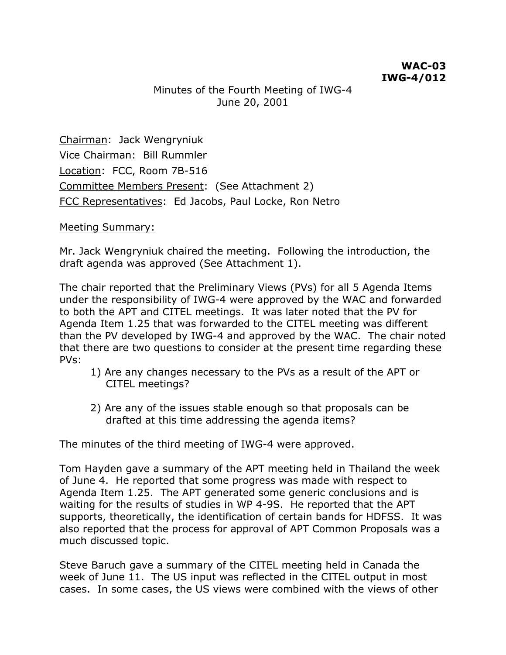## Minutes of the Fourth Meeting of IWG-4 June 20, 2001

Chairman: Jack Wengryniuk Vice Chairman: Bill Rummler Location: FCC, Room 7B-516 Committee Members Present: (See Attachment 2) FCC Representatives: Ed Jacobs, Paul Locke, Ron Netro

#### Meeting Summary:

Mr. Jack Wengryniuk chaired the meeting. Following the introduction, the draft agenda was approved (See Attachment 1).

The chair reported that the Preliminary Views (PVs) for all 5 Agenda Items under the responsibility of IWG-4 were approved by the WAC and forwarded to both the APT and CITEL meetings. It was later noted that the PV for Agenda Item 1.25 that was forwarded to the CITEL meeting was different than the PV developed by IWG-4 and approved by the WAC. The chair noted that there are two questions to consider at the present time regarding these PVs:

- 1) Are any changes necessary to the PVs as a result of the APT or CITEL meetings?
- 2) Are any of the issues stable enough so that proposals can be drafted at this time addressing the agenda items?

The minutes of the third meeting of IWG-4 were approved.

Tom Hayden gave a summary of the APT meeting held in Thailand the week of June 4. He reported that some progress was made with respect to Agenda Item 1.25. The APT generated some generic conclusions and is waiting for the results of studies in WP 4-9S. He reported that the APT supports, theoretically, the identification of certain bands for HDFSS. It was also reported that the process for approval of APT Common Proposals was a much discussed topic.

Steve Baruch gave a summary of the CITEL meeting held in Canada the week of June 11. The US input was reflected in the CITEL output in most cases. In some cases, the US views were combined with the views of other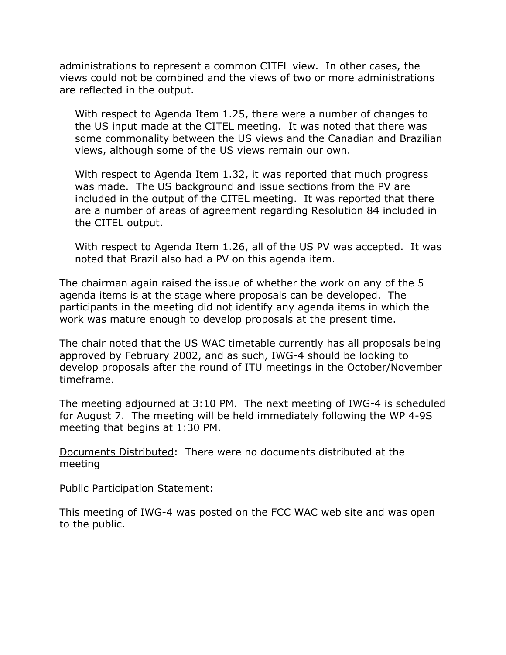administrations to represent a common CITEL view. In other cases, the views could not be combined and the views of two or more administrations are reflected in the output.

With respect to Agenda Item 1.25, there were a number of changes to the US input made at the CITEL meeting. It was noted that there was some commonality between the US views and the Canadian and Brazilian views, although some of the US views remain our own.

With respect to Agenda Item 1.32, it was reported that much progress was made. The US background and issue sections from the PV are included in the output of the CITEL meeting. It was reported that there are a number of areas of agreement regarding Resolution 84 included in the CITEL output.

With respect to Agenda Item 1.26, all of the US PV was accepted. It was noted that Brazil also had a PV on this agenda item.

The chairman again raised the issue of whether the work on any of the 5 agenda items is at the stage where proposals can be developed. The participants in the meeting did not identify any agenda items in which the work was mature enough to develop proposals at the present time.

The chair noted that the US WAC timetable currently has all proposals being approved by February 2002, and as such, IWG-4 should be looking to develop proposals after the round of ITU meetings in the October/November timeframe.

The meeting adjourned at 3:10 PM. The next meeting of IWG-4 is scheduled for August 7. The meeting will be held immediately following the WP 4-9S meeting that begins at 1:30 PM.

Documents Distributed: There were no documents distributed at the meeting

Public Participation Statement:

This meeting of IWG-4 was posted on the FCC WAC web site and was open to the public.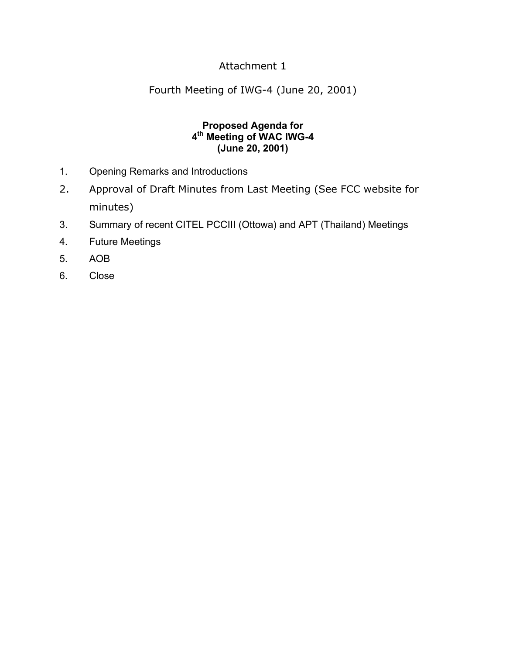## Attachment 1

Fourth Meeting of IWG-4 (June 20, 2001)

#### **Proposed Agenda for 4th Meeting of WAC IWG-4 (June 20, 2001)**

- 1. Opening Remarks and Introductions
- 2. Approval of Draft Minutes from Last Meeting (See FCC website for minutes)
- 3. Summary of recent CITEL PCCIII (Ottowa) and APT (Thailand) Meetings
- 4. Future Meetings
- 5. AOB
- 6. Close